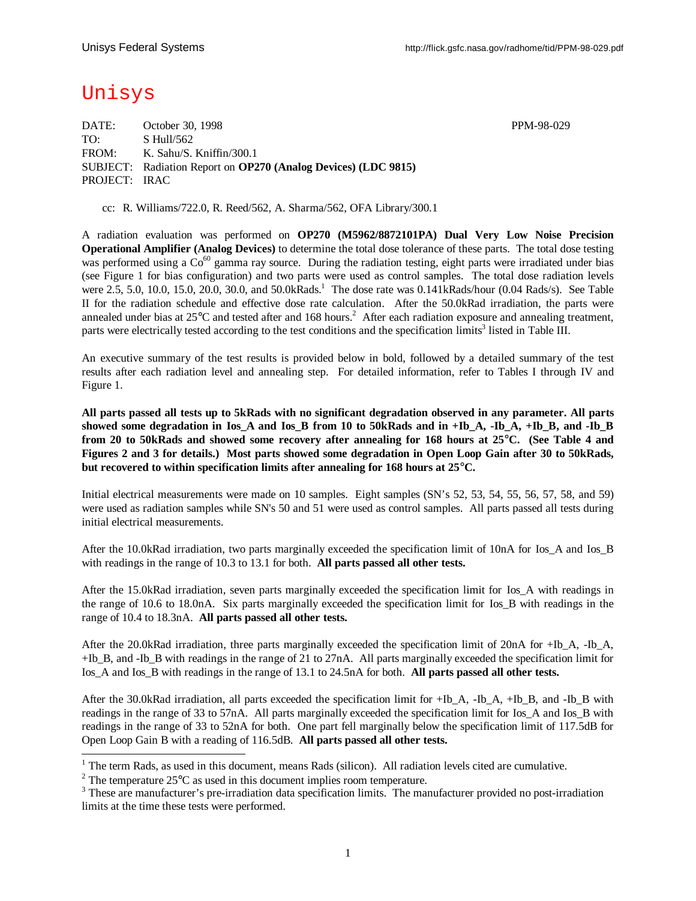# Unisys

l

DATE: October 30, 1998 PPM-98-029 TO: S Hull/562 FROM: K. Sahu/S. Kniffin/300.1 SUBJECT: Radiation Report on **OP270 (Analog Devices) (LDC 9815)** PROJECT: IRAC

cc: R. Williams/722.0, R. Reed/562, A. Sharma/562, OFA Library/300.1

A radiation evaluation was performed on **OP270 (M5962/8872101PA) Dual Very Low Noise Precision Operational Amplifier (Analog Devices)** to determine the total dose tolerance of these parts. The total dose testing was performed using a  $Co^{60}$  gamma ray source. During the radiation testing, eight parts were irradiated under bias (see Figure 1 for bias configuration) and two parts were used as control samples. The total dose radiation levels were 2.5, 5.0, 10.0, 15.0, 20.0, 30.0, and 50.0kRads.<sup>1</sup> The dose rate was 0.141kRads/hour (0.04 Rads/s). See Table II for the radiation schedule and effective dose rate calculation. After the 50.0kRad irradiation, the parts were annealed under bias at  $25^{\circ}$ C and tested after and 168 hours.<sup>2</sup> After each radiation exposure and annealing treatment, parts were electrically tested according to the test conditions and the specification limits<sup>3</sup> listed in Table III.

An executive summary of the test results is provided below in bold, followed by a detailed summary of the test results after each radiation level and annealing step. For detailed information, refer to Tables I through IV and Figure 1.

**All parts passed all tests up to 5kRads with no significant degradation observed in any parameter. All parts showed some degradation in Ios\_A and Ios\_B from 10 to 50kRads and in +Ib\_A, -Ib\_A, +Ib\_B, and -Ib\_B from 20 to 50kRads and showed some recovery after annealing for 168 hours at 25°C. (See Table 4 and Figures 2 and 3 for details.) Most parts showed some degradation in Open Loop Gain after 30 to 50kRads, but recovered to within specification limits after annealing for 168 hours at 25°C.**

Initial electrical measurements were made on 10 samples. Eight samples (SN's 52, 53, 54, 55, 56, 57, 58, and 59) were used as radiation samples while SN's 50 and 51 were used as control samples. All parts passed all tests during initial electrical measurements.

After the 10.0kRad irradiation, two parts marginally exceeded the specification limit of 10nA for Ios\_A and Ios\_B with readings in the range of 10.3 to 13.1 for both. **All parts passed all other tests.**

After the 15.0kRad irradiation, seven parts marginally exceeded the specification limit for Ios\_A with readings in the range of 10.6 to 18.0nA. Six parts marginally exceeded the specification limit for Ios\_B with readings in the range of 10.4 to 18.3nA. **All parts passed all other tests.**

After the 20.0kRad irradiation, three parts marginally exceeded the specification limit of 20nA for +Ib\_A, -Ib\_A, +Ib\_B, and -Ib\_B with readings in the range of 21 to 27nA. All parts marginally exceeded the specification limit for Ios\_A and Ios\_B with readings in the range of 13.1 to 24.5nA for both. **All parts passed all other tests.**

After the 30.0kRad irradiation, all parts exceeded the specification limit for  $+IbA$ ,  $-IbA$ ,  $+IbB$ , and  $-IbB$  with readings in the range of 33 to 57nA. All parts marginally exceeded the specification limit for Ios\_A and Ios\_B with readings in the range of 33 to 52nA for both. One part fell marginally below the specification limit of 117.5dB for Open Loop Gain B with a reading of 116.5dB. **All parts passed all other tests.**

 $1$  The term Rads, as used in this document, means Rads (silicon). All radiation levels cited are cumulative.

<sup>&</sup>lt;sup>2</sup> The temperature 25 $^{\circ}$ C as used in this document implies room temperature.

<sup>&</sup>lt;sup>3</sup> These are manufacturer's pre-irradiation data specification limits. The manufacturer provided no post-irradiation limits at the time these tests were performed.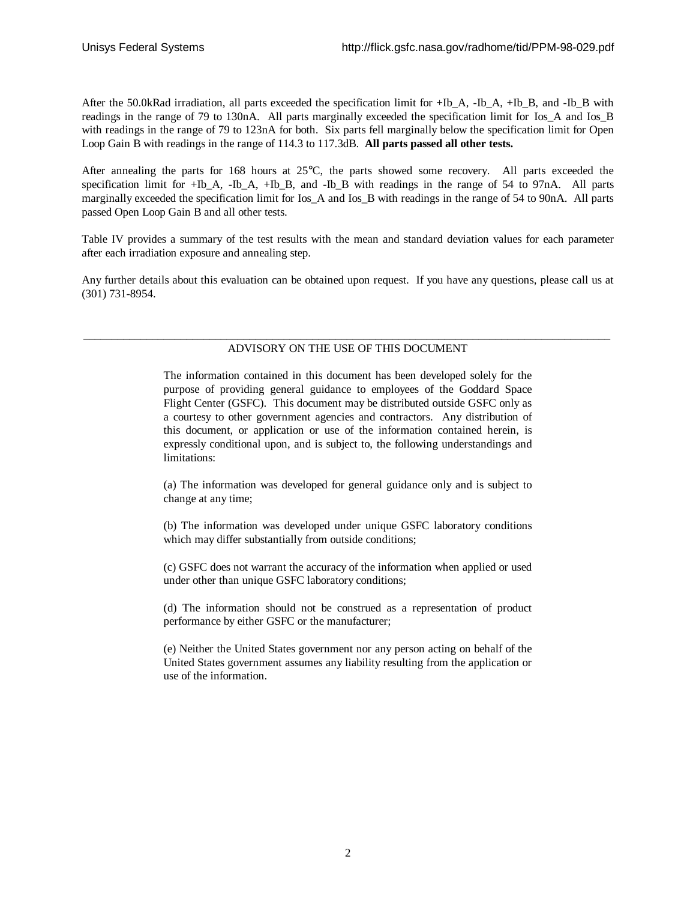After the 50.0kRad irradiation, all parts exceeded the specification limit for +Ib\_A, -Ib\_A, +Ib\_B, and -Ib\_B with readings in the range of 79 to 130nA. All parts marginally exceeded the specification limit for Ios\_A and Ios\_B with readings in the range of 79 to 123nA for both. Six parts fell marginally below the specification limit for Open Loop Gain B with readings in the range of 114.3 to 117.3dB. **All parts passed all other tests.**

After annealing the parts for 168 hours at 25°C, the parts showed some recovery. All parts exceeded the specification limit for +Ib\_A, -Ib\_A, +Ib\_B, and -Ib\_B with readings in the range of 54 to 97nA. All parts marginally exceeded the specification limit for Ios A and Ios B with readings in the range of 54 to 90nA. All parts passed Open Loop Gain B and all other tests.

Table IV provides a summary of the test results with the mean and standard deviation values for each parameter after each irradiation exposure and annealing step.

Any further details about this evaluation can be obtained upon request. If you have any questions, please call us at (301) 731-8954.

#### \_\_\_\_\_\_\_\_\_\_\_\_\_\_\_\_\_\_\_\_\_\_\_\_\_\_\_\_\_\_\_\_\_\_\_\_\_\_\_\_\_\_\_\_\_\_\_\_\_\_\_\_\_\_\_\_\_\_\_\_\_\_\_\_\_\_\_\_\_\_\_\_\_\_\_\_\_\_\_\_\_\_\_\_\_\_\_\_\_\_\_\_ ADVISORY ON THE USE OF THIS DOCUMENT

The information contained in this document has been developed solely for the purpose of providing general guidance to employees of the Goddard Space Flight Center (GSFC). This document may be distributed outside GSFC only as a courtesy to other government agencies and contractors. Any distribution of this document, or application or use of the information contained herein, is expressly conditional upon, and is subject to, the following understandings and limitations:

(a) The information was developed for general guidance only and is subject to change at any time;

(b) The information was developed under unique GSFC laboratory conditions which may differ substantially from outside conditions;

(c) GSFC does not warrant the accuracy of the information when applied or used under other than unique GSFC laboratory conditions;

(d) The information should not be construed as a representation of product performance by either GSFC or the manufacturer;

(e) Neither the United States government nor any person acting on behalf of the United States government assumes any liability resulting from the application or use of the information.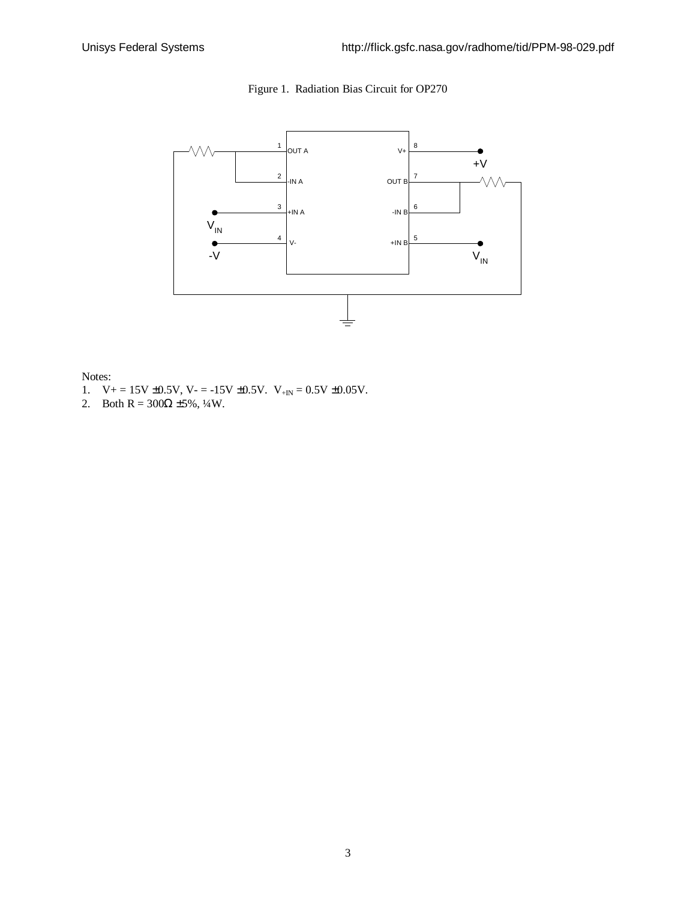



Notes:

- 1.  $V_+ = 15V \pm 0.5V$ ,  $V_- = -15V \pm 0.5V$ .  $V_{+IN} = 0.5V \pm 0.05V$ .
- 2. Both R =  $300\Omega \pm 5\%$ ,  $\frac{1}{4}W$ .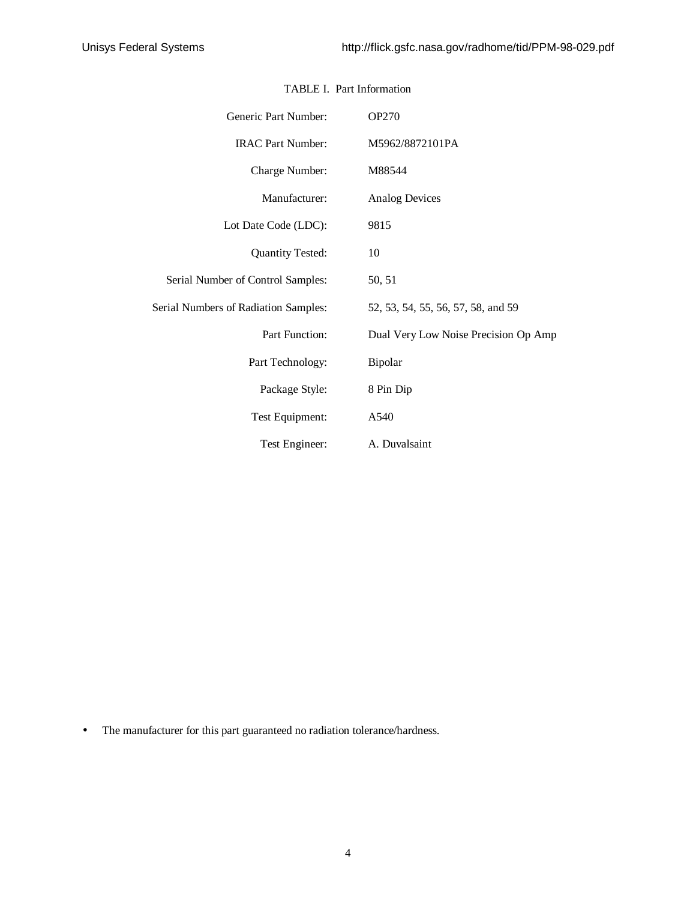| Generic Part Number:                 | <b>OP270</b>                         |  |  |  |  |  |  |  |
|--------------------------------------|--------------------------------------|--|--|--|--|--|--|--|
| <b>IRAC Part Number:</b>             | M5962/8872101PA                      |  |  |  |  |  |  |  |
| Charge Number:                       | M88544                               |  |  |  |  |  |  |  |
| Manufacturer:                        | <b>Analog Devices</b>                |  |  |  |  |  |  |  |
| Lot Date Code (LDC):                 | 9815                                 |  |  |  |  |  |  |  |
| <b>Quantity Tested:</b>              | 10                                   |  |  |  |  |  |  |  |
| Serial Number of Control Samples:    | 50, 51                               |  |  |  |  |  |  |  |
| Serial Numbers of Radiation Samples: | 52, 53, 54, 55, 56, 57, 58, and 59   |  |  |  |  |  |  |  |
| Part Function:                       | Dual Very Low Noise Precision Op Amp |  |  |  |  |  |  |  |
| Part Technology:                     | Bipolar                              |  |  |  |  |  |  |  |
| Package Style:                       | 8 Pin Dip                            |  |  |  |  |  |  |  |
| Test Equipment:                      | A540                                 |  |  |  |  |  |  |  |
| Test Engineer:                       | A. Duvalsaint                        |  |  |  |  |  |  |  |

#### TABLE I. Part Information

• The manufacturer for this part guaranteed no radiation tolerance/hardness.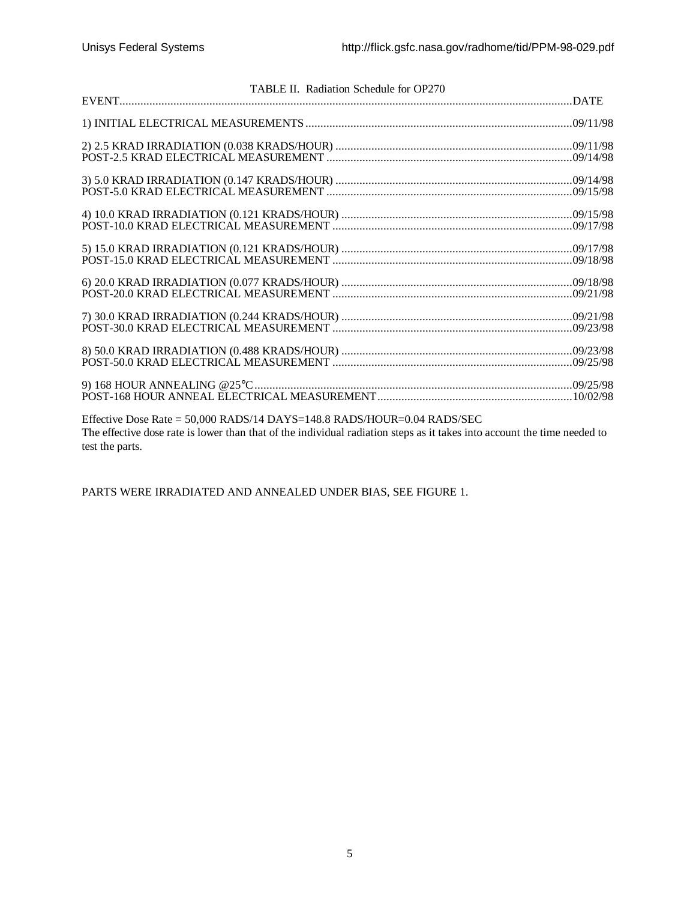|                 | TABLE II. Radiation Schedule for OP270                                                                                                                                                              |  |
|-----------------|-----------------------------------------------------------------------------------------------------------------------------------------------------------------------------------------------------|--|
|                 |                                                                                                                                                                                                     |  |
|                 |                                                                                                                                                                                                     |  |
|                 |                                                                                                                                                                                                     |  |
|                 |                                                                                                                                                                                                     |  |
|                 |                                                                                                                                                                                                     |  |
|                 |                                                                                                                                                                                                     |  |
|                 |                                                                                                                                                                                                     |  |
|                 |                                                                                                                                                                                                     |  |
|                 |                                                                                                                                                                                                     |  |
|                 |                                                                                                                                                                                                     |  |
|                 |                                                                                                                                                                                                     |  |
|                 |                                                                                                                                                                                                     |  |
|                 |                                                                                                                                                                                                     |  |
|                 |                                                                                                                                                                                                     |  |
|                 |                                                                                                                                                                                                     |  |
|                 |                                                                                                                                                                                                     |  |
|                 |                                                                                                                                                                                                     |  |
|                 |                                                                                                                                                                                                     |  |
|                 |                                                                                                                                                                                                     |  |
|                 | Effective Dose Rate = 50,000 RADS/14 DAYS=148.8 RADS/HOUR=0.04 RADS/SEC<br>The effective dose rate is lower than that of the individual radiation steps as it takes into account the time needed to |  |
| test the parts. |                                                                                                                                                                                                     |  |

PARTS WERE IRRADIATED AND ANNEALED UNDER BIAS, SEE FIGURE 1.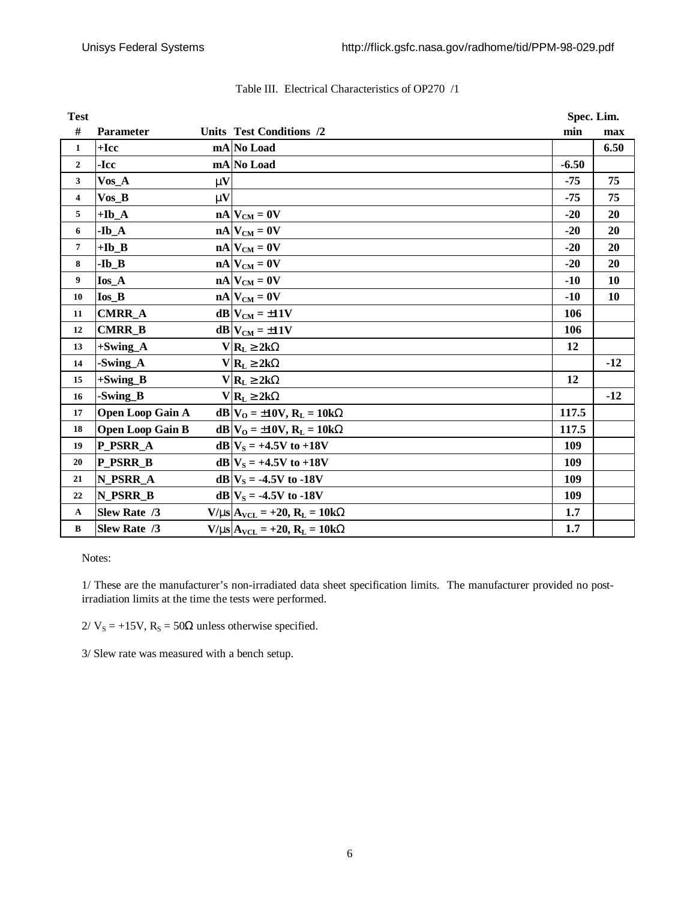| <b>Test</b>             |                         | Spec. Lim.   |                                               |         |           |
|-------------------------|-------------------------|--------------|-----------------------------------------------|---------|-----------|
| #                       | Parameter               |              | <b>Units Test Conditions /2</b>               | min     | max       |
| $\mathbf{1}$            | $+$ Icc                 |              | mA No Load                                    |         | 6.50      |
| $\mathbf{2}$            | -Icc                    |              | mA No Load                                    | $-6.50$ |           |
| 3                       | $V$ os_A                | $\mathbf{m}$ |                                               | $-75$   | 75        |
| $\overline{\mathbf{4}}$ | $V$ os_B                | $\mathbf{m}$ |                                               | $-75$   | 75        |
| 5                       | $+Ib-A$                 |              | $nA$ $V_{CM} = 0V$                            | $-20$   | 20        |
| 6                       | $-Ib_A$                 |              | $nA$ $V_{CM} = 0V$                            | $-20$   | 20        |
| $\overline{7}$          | $+Ib$ <sub>B</sub>      |              | $nA$ $V_{CM} = 0V$                            | $-20$   | 20        |
| 8                       | $-Ib$ <sub>B</sub>      |              | $nA$ $V_{CM} = 0V$                            | $-20$   | 20        |
| 9                       | Ios A                   |              | $nA$ $V_{CM} = 0V$                            | $-10$   | 10        |
| 10                      | $I$ os_ $B$             |              | $nA$ $V_{CM} = 0V$                            | $-10$   | <b>10</b> |
| 11                      | <b>CMRR A</b>           |              | $dB$ $V_{CM} = \pm 11V$                       | 106     |           |
| 12                      | <b>CMRR B</b>           |              | $dB$ $V_{CM} = \pm 11V$                       | 106     |           |
| 13                      | $+Swing_A$              |              | $V R_L^3 2kW$                                 | 12      |           |
| 14                      | -Swing_A                |              | $V R_L^3 2kW$                                 |         | $-12$     |
| 15                      | $+$ Swing_B             |              | $V R_L^3 2kW$                                 | 12      |           |
| 16                      | -Swing_B                |              | $V R_L^3 2kW$                                 |         | $-12$     |
| 17                      | <b>Open Loop Gain A</b> |              | $dB V_{O} = \pm 10V$ , $R_{L} = 10kW$         | 117.5   |           |
| 18                      | <b>Open Loop Gain B</b> |              | $dB V_{O} = \pm 10V$ , $R_{L} = 10kW$         | 117.5   |           |
| 19                      | P PSRR A                |              | $dB V_S = +4.5V$ to +18V                      | 109     |           |
| 20                      | P_PSRR_B                |              | $dB V_S = +4.5V$ to +18V                      | 109     |           |
| 21                      | N PSRR A                |              | $dB V_s = -4.5V$ to -18V                      | 109     |           |
| 22                      | N PSRR B                |              | $dB$ <sub>N<sub>S</sub> = -4.5V to -18V</sub> | 109     |           |
| $\mathbf{A}$            | Slew Rate /3            |              | $V/ms$ $A_{VCL}$ = +20, $R_L$ = 10kW          | 1.7     |           |
| $\, {\bf B}$            | Slew Rate /3            |              | $V/ms$ $A_{VCL}$ = +20, $R_L$ = 10kW          | 1.7     |           |

#### Table III. Electrical Characteristics of OP270 /1

Notes:

1/ These are the manufacturer's non-irradiated data sheet specification limits. The manufacturer provided no postirradiation limits at the time the tests were performed.

 $2/V_s = +15V$ ,  $R_s = 50\Omega$  unless otherwise specified.

3/ Slew rate was measured with a bench setup.